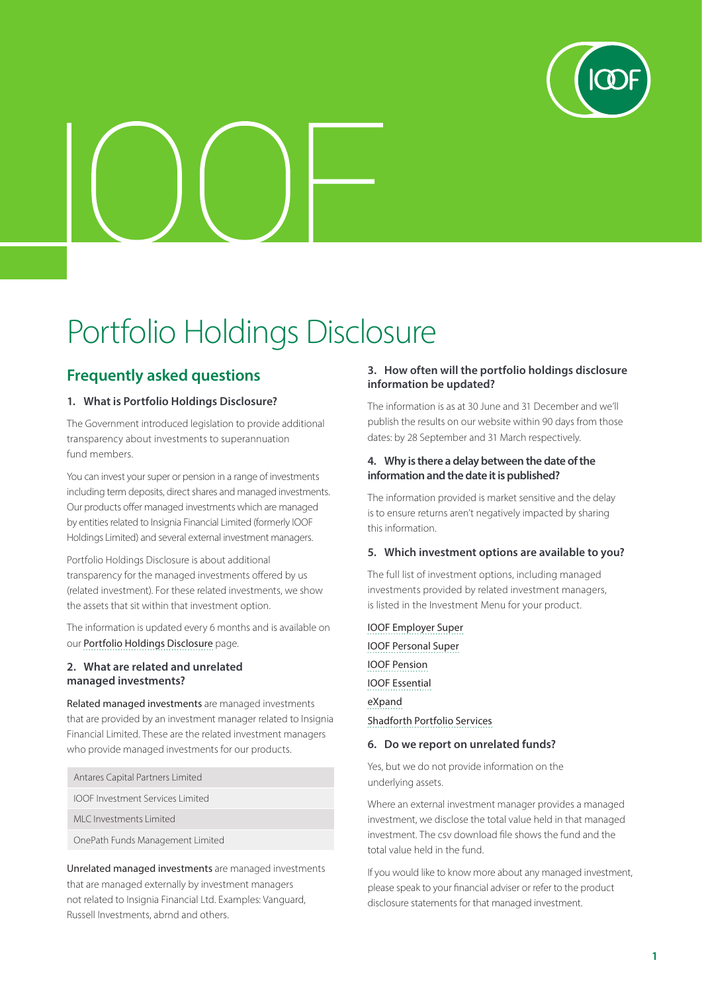

# Portfolio Holdings Disclosure

## **Frequently asked questions**

#### **1. What is Portfolio Holdings Disclosure?**

The Government introduced legislation to provide additional transparency about investments to superannuation fund members.

You can invest your super or pension in a range of investments including term deposits, direct shares and managed investments. Our products offer managed investments which are managed by entities related to Insignia Financial Limited (formerly IOOF Holdings Limited) and several external investment managers.

Portfolio Holdings Disclosure is about additional transparency for the managed investments offered by us (related investment). For these related investments, we show the assets that sit within that investment option.

The information is updated every 6 months and is available on our [Portfolio Holdings Disclosure](https://www.ioof.com.au/investments/portfolio-holdings-disclosure) page.

#### **2. What are related and unrelated managed investments?**

Related managed investments are managed investments that are provided by an investment manager related to Insignia Financial Limited. These are the related investment managers who provide managed investments for our products.

| Antares Capital Partners Limited        |
|-----------------------------------------|
| <b>IOOF Investment Services Limited</b> |
| MLC Investments Limited                 |

OnePath Funds Management Limited

Unrelated managed investments are managed investments that are managed externally by investment managers not related to Insignia Financial Ltd. Examples: Vanguard, Russell Investments, abrnd and others.

#### **3. How often will the portfolio holdings disclosure information be updated?**

The information is as at 30 June and 31 December and we'll publish the results on our website within 90 days from those dates: by 28 September and 31 March respectively.

#### **4. Why is there a delay between the date of the information and the date it is published?**

The information provided is market sensitive and the delay is to ensure returns aren't negatively impacted by sharing this information.

#### **5. Which investment options are available to you?**

The full list of investment options, including managed investments provided by related investment managers, is listed in the Investment Menu for your product.

[IOOF Employer Super](https://www.ioof.com.au/superannuation/products-and-services/ioof-employer-super/investment-menu) [IOOF Personal Super](https://www.ioof.com.au/forms?product=ioof-personal-super) [IOOF Pension](https://www.ioof.com.au/forms?product=pension) [IOOF Essential](https://www.ioof.com.au/forms?product=ioof-essential-super) [eXpand](https://myexpand.com.au/investment-information) [Shadforth Portfolio Services](https://www.sfg.com.au/portfolio/portfolio-information)

#### **6. Do we report on unrelated funds?**

Yes, but we do not provide information on the underlying assets.

Where an external investment manager provides a managed investment, we disclose the total value held in that managed investment. The csv download file shows the fund and the total value held in the fund.

If you would like to know more about any managed investment, please speak to your financial adviser or refer to the product disclosure statements for that managed investment.